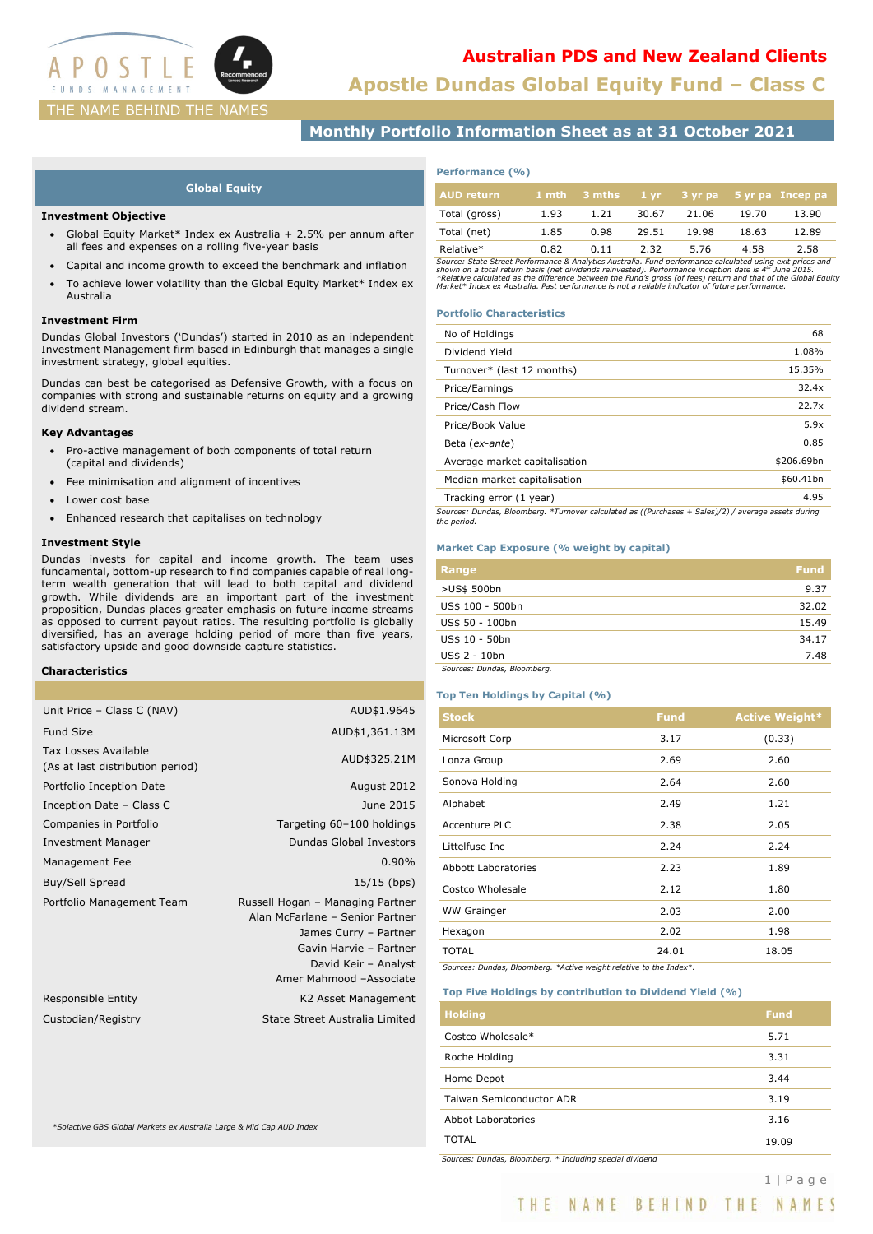

**Apostle Dundas Global Equity Fund – Class C**

# **Monthly Portfolio Information Sheet as at 31 October 2021**

#### **Global Equity**

#### **Investment Objective**

- Global Equity Market\* Index ex Australia + 2.5% per annum after all fees and expenses on a rolling five-year basis
- Capital and income growth to exceed the benchmark and inflation
- To achieve lower volatility than the Global Equity Market\* Index ex Australia

#### **Investment Firm**

Dundas Global Investors ('Dundas') started in 2010 as an independent Investment Management firm based in Edinburgh that manages a single investment strategy, global equities.

Dundas can best be categorised as Defensive Growth, with a focus on companies with strong and sustainable returns on equity and a growing dividend stream.

#### **Key Advantages**

- Pro-active management of both components of total return (capital and dividends)
- Fee minimisation and alignment of incentives
- Lower cost base
- Enhanced research that capitalises on technology

#### **Investment Style**

Dundas invests for capital and income growth. The team uses fundamental, bottom-up research to find companies capable of real longterm wealth generation that will lead to both capital and dividend growth. While dividends are an important part of the investment proposition, Dundas places greater emphasis on future income streams as opposed to current payout ratios. The resulting portfolio is globally diversified, has an average holding period of more than five years, satisfactory upside and good downside capture statistics.

#### **Characteristics**

| Unit Price - Class C (NAV)                                      | AUD\$1.9645                                                                                                                                                               |
|-----------------------------------------------------------------|---------------------------------------------------------------------------------------------------------------------------------------------------------------------------|
| <b>Fund Size</b>                                                | AUD\$1,361.13M                                                                                                                                                            |
| <b>Tax Losses Available</b><br>(As at last distribution period) | AUD\$325.21M                                                                                                                                                              |
| Portfolio Inception Date                                        | August 2012                                                                                                                                                               |
| Inception Date - Class C                                        | June 2015                                                                                                                                                                 |
| Companies in Portfolio                                          | Targeting 60-100 holdings                                                                                                                                                 |
| <b>Investment Manager</b>                                       | Dundas Global Investors                                                                                                                                                   |
| Management Fee                                                  | $0.90\%$                                                                                                                                                                  |
| Buy/Sell Spread                                                 | $15/15$ (bps)                                                                                                                                                             |
| Portfolio Management Team                                       | Russell Hogan - Managing Partner<br>Alan McFarlane - Senior Partner<br>James Curry - Partner<br>Gavin Harvie - Partner<br>David Keir - Analyst<br>Amer Mahmood -Associate |
| Responsible Entity                                              | K2 Asset Management                                                                                                                                                       |
| Custodian/Registry                                              | State Street Australia Limited                                                                                                                                            |
|                                                                 |                                                                                                                                                                           |

*\*Solactive GBS Global Markets ex Australia Large & Mid Cap AUD Index*

| Performance (%) |  |
|-----------------|--|
|-----------------|--|

| <b>AUD return</b> |      | $1$ mth $3$ mths |       |       |       | 1 yr 3 yr pa 5 yr pa Incep pa |
|-------------------|------|------------------|-------|-------|-------|-------------------------------|
| Total (gross)     | 1.93 | 1.21             | 30.67 | 21.06 | 19.70 | 13.90                         |
| Total (net)       | 1.85 | 0.98             | 29.51 | 19.98 | 18.63 | 12.89                         |
| Relative*         | 0.82 | 0.11             | 2.32  | 5.76  | 4.58  | 2.58                          |

Relative\*<br>Source: State Street Performance & Analytics Australia. Fund performance calculated using exit prices and<br>Shown on a total return basis (net dividends reinvested). Performance inception date is 4<sup>m</sup> June 2015.<br>\*R

#### **Portfolio Characteristics**

| No of Holdings                                                                                                     | 68         |
|--------------------------------------------------------------------------------------------------------------------|------------|
| Dividend Yield                                                                                                     | 1.08%      |
| Turnover* (last 12 months)                                                                                         | 15.35%     |
| Price/Earnings                                                                                                     | 32.4x      |
| Price/Cash Flow                                                                                                    | 22.7x      |
| Price/Book Value                                                                                                   | 5.9x       |
| Beta (ex-ante)                                                                                                     | 0.85       |
| Average market capitalisation                                                                                      | \$206.69bn |
| Median market capitalisation                                                                                       | \$60.41bn  |
| Tracking error (1 year)                                                                                            | 4.95       |
| Sources: Dundas, Bloomberg. *Turnover calculated as ((Purchases + Sales)/2) / average assets during<br>the period. |            |

#### **Market Cap Exposure (% weight by capital)**

| Range                       | <b>Fund</b> |
|-----------------------------|-------------|
| >US\$ 500bn                 | 9.37        |
| US\$ 100 - 500bn            | 32.02       |
| US\$ 50 - 100bn             | 15.49       |
| US\$ 10 - 50bn              | 34.17       |
| US\$ 2 - 10bn               | 7.48        |
| Sources: Dundas, Bloomberg. |             |

#### **Top Ten Holdings by Capital (%)**

| <b>Stock</b>               | <b>Fund</b> | <b>Active Weight*</b> |
|----------------------------|-------------|-----------------------|
| Microsoft Corp             | 3.17        | (0.33)                |
| Lonza Group                | 2.69        | 2.60                  |
| Sonova Holding             | 2.64        | 2.60                  |
| Alphabet                   | 2.49        | 1.21                  |
| Accenture PLC              | 2.38        | 2.05                  |
| Littelfuse Inc.            | 2.24        | 2.24                  |
| <b>Abbott Laboratories</b> | 2.23        | 1.89                  |
| Costco Wholesale           | 2.12        | 1.80                  |
| <b>WW Grainger</b>         | 2.03        | 2.00                  |
| Hexagon                    | 2.02        | 1.98                  |
| <b>TOTAL</b>               | 24.01       | 18.05                 |

*Sources: Dundas, Bloomberg. \*Active weight relative to the Index\*.*

#### **Top Five Holdings by contribution to Dividend Yield (%)**

| <b>Holding</b>                                           | <b>Fund</b> |
|----------------------------------------------------------|-------------|
| Costco Wholesale*                                        | 5.71        |
| Roche Holding                                            | 3.31        |
| Home Depot                                               | 3.44        |
| Taiwan Semiconductor ADR                                 | 3.19        |
| Abbot Laboratories                                       | 3.16        |
| <b>TOTAL</b>                                             | 19.09       |
| Sources: Dundas, Bloomberg. * Including special dividend |             |

THE NAME BEHIND THE NAMES

1 | Page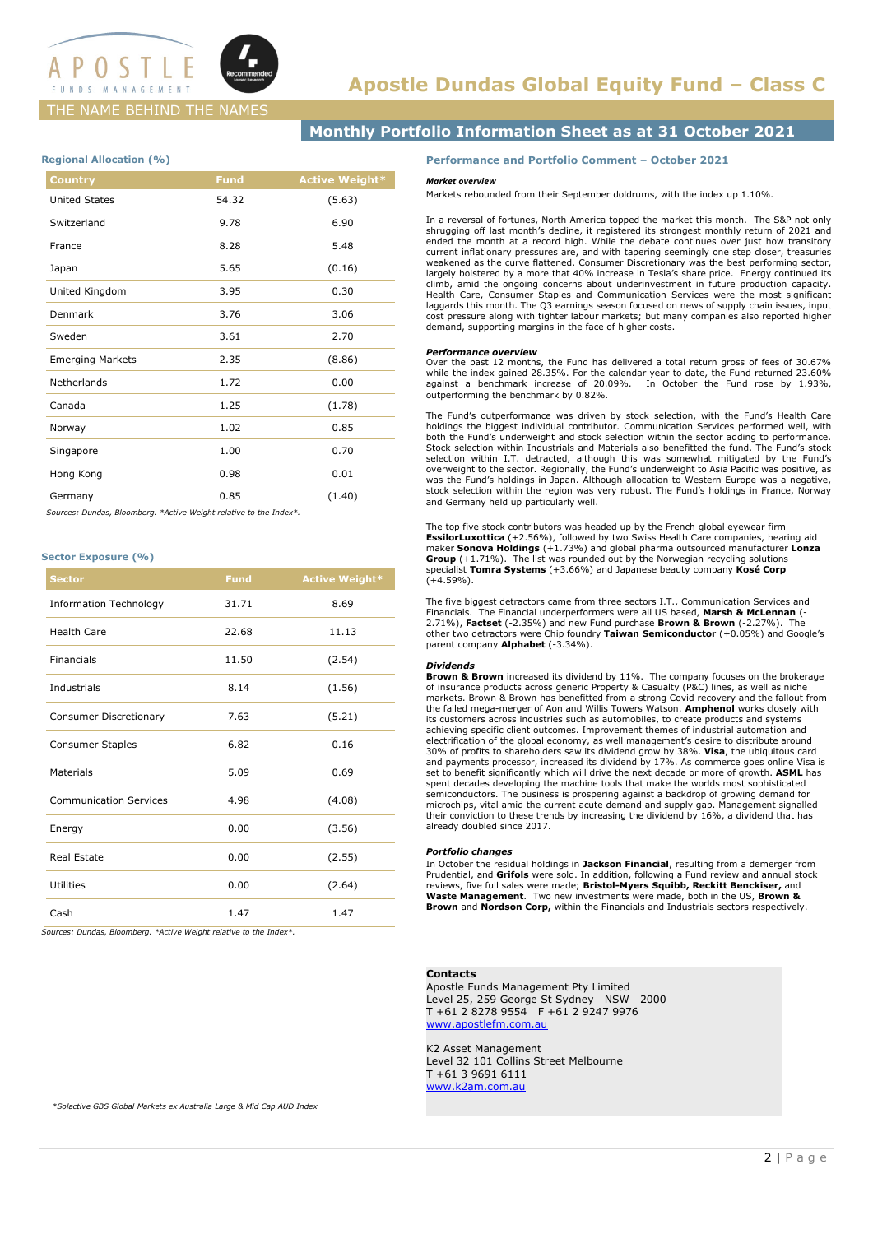

## THE NAME BEHIND THE NAMES

# **Monthly Portfolio Information Sheet as at 31 October 2021**

#### **Regional Allocation (%)**

| Country                 | <b>Fund</b> | <b>Active Weight*</b> |
|-------------------------|-------------|-----------------------|
| <b>United States</b>    | 54.32       | (5.63)                |
| Switzerland             | 9.78        | 6.90                  |
| France                  | 8.28        | 5.48                  |
| Japan                   | 5.65        | (0.16)                |
| United Kingdom          | 3.95        | 0.30                  |
| Denmark                 | 3.76        | 3.06                  |
| Sweden                  | 3.61        | 2.70                  |
| <b>Emerging Markets</b> | 2.35        | (8.86)                |
| Netherlands             | 1.72        | 0.00                  |
| Canada                  | 1.25        | (1.78)                |
| Norway                  | 1.02        | 0.85                  |
| Singapore               | 1.00        | 0.70                  |
| Hong Kong               | 0.98        | 0.01                  |
| Germany                 | 0.85        | (1.40)                |
|                         |             |                       |

 *Sources: Dundas, Bloomberg. \*Active Weight relative to the Index\*.*

#### **Sector Exposure (%)**

| <b>Sector</b>                 | <b>Fund</b> | <b>Active Weight*</b> |
|-------------------------------|-------------|-----------------------|
| <b>Information Technology</b> | 31.71       | 8.69                  |
| <b>Health Care</b>            | 22.68       | 11.13                 |
| Financials                    | 11.50       | (2.54)                |
| Industrials                   | 8.14        | (1.56)                |
| Consumer Discretionary        | 7.63        | (5.21)                |
| Consumer Staples              | 6.82        | 0.16                  |
| Materials                     | 5.09        | 0.69                  |
| <b>Communication Services</b> | 4.98        | (4.08)                |
| Energy                        | 0.00        | (3.56)                |
| Real Estate                   | 0.00        | (2.55)                |
| <b>Utilities</b>              | 0.00        | (2.64)                |
| Cash                          | 1.47        | 1.47                  |

*Sources: Dundas, Bloomberg. \*Active Weight relative to the Index\*.*

**Performance and Portfolio Comment – October 2021**

#### *Market overview*

Markets rebounded from their September doldrums, with the index up 1.10%.

In a reversal of fortunes, North America topped the market this month. The S&P not only shrugging off last month's decline, it registered its strongest monthly return of 2021 and ended the month at a record high. While the debate continues over just how transitory current inflationary pressures are, and with tapering seemingly one step closer, treasuries weakened as the curve flattened. Consumer Discretionary was the best performing sector, largely bolstered by a more that 40% increase in Tesla's share price. Energy continued its climb, amid the ongoing concerns about underinvestment in future production capacity. Health Care, Consumer Staples and Communication Services were the most significant laggards this month. The Q3 earnings season focused on news of supply chain issues, input cost pressure along with tighter labour markets; but many companies also reported higher demand, supporting margins in the face of higher costs.

#### *Performance overview*

Over the past 12 months, the Fund has delivered a total return gross of fees of 30.67% while the index gained 28.35%. For the calendar year to date, the Fund returned 23.60% against a benchmark increase of 20.09%. In October the Fund rose by 1.93%, outperforming the benchmark by 0.82%.

The Fund's outperformance was driven by stock selection, with the Fund's Health Care<br>holdings the biggest individual contributor. Communication Services performed well, with<br>both the Fund's underweight and stock selection Stock selection within Industrials and Materials also benefitted the fund. The Fund's stock selection within I.T. detracted, although this was somewhat mitigated by the Fund's<br>overweight to the sector. Regionally, the Fund's underweight to Asia Pacific was positive, as<br>was the Fund's holdings in Japan. Although a stock selection within the region was very robust. The Fund's holdings in France, Norway and Germany held up particularly well.

The top five stock contributors was headed up by the French global eyewear firm **EssilorLuxottica** (+2.56%), followed by two Swiss Health Care companies, hearing aid maker **Sonova Holdings** (+1.73%) and global pharma outsourced manufacturer **Lonza Group** (+1.71%). The list was rounded out by the Norwegian recycling solutions specialist **Tomra Systems** (+3.66%) and Japanese beauty company **Kosé Corp**   $(+4.59\%)$ .

The five biggest detractors came from three sectors I.T., Communication Services and Financials. The Financial underperformers were all US based, **Marsh & McLennan** (- 2.71%), **Factset** (-2.35%) and new Fund purchase **Brown & Brown** (-2.27%). The other two detractors were Chip foundry **Taiwan Semiconductor** (+0.05%) and Google's parent company **Alphabet** (-3.34%).

#### *Dividends*

**Brown & Brown** increased its dividend by 11%. The company focuses on the brokerage of insurance products across generic Property & Casualty (P&C) lines, as well as niche markets. Brown & Brown has benefitted from a strong Covid recovery and the fallout from the failed mega-merger of Aon and Willis Towers Watson. **Amphenol** works closely with its customers across industries such as automobiles, to create products and systems achieving specific client outcomes. Improvement themes of industrial automation and electrification of the global economy, as well management's desire to distribute around 30% of profits to shareholders saw its dividend grow by 38%. **Visa**, the ubiquitous card and payments processor, increased its dividend by 17%. As commerce goes online Visa is set to benefit significantly which will drive the next decade or more of growth. **ASML** has spent decades developing the machine tools that make the worlds most sophisticated semiconductors. The business is prospering against a backdrop of growing demand for microchips, vital amid the current acute demand and supply gap. Management signalled their conviction to these trends by increasing the dividend by 16%, a dividend that has already doubled since 2017.

#### *Portfolio changes*

In October the residual holdings in **Jackson Financial**, resulting from a demerger from Prudential, and **Grifols** were sold. In addition, following a Fund review and annual stock reviews, five full sales were made; **Bristol-Myers Squibb, Reckitt Benckiser,** and **Waste Management**. Two new investments were made, both in the US, **Brown & Brown** and **Nordson Corp,** within the Financials and Industrials sectors respectively.

#### **Contacts**

Apostle Funds Management Pty Limited Level 25, 259 George St Sydney NSW 2000 T +61 2 8278 9554 F +61 2 9247 9976 [www.apostlefm.com.au](http://www.apostlefm.com.au/)

K2 Asset Management Level 32 101 Collins Street Melbourne T +61 3 9691 6111 [www.k2am.com.au](http://www.k2am.com.au/)

*\*Solactive GBS Global Markets ex Australia Large & Mid Cap AUD Index*